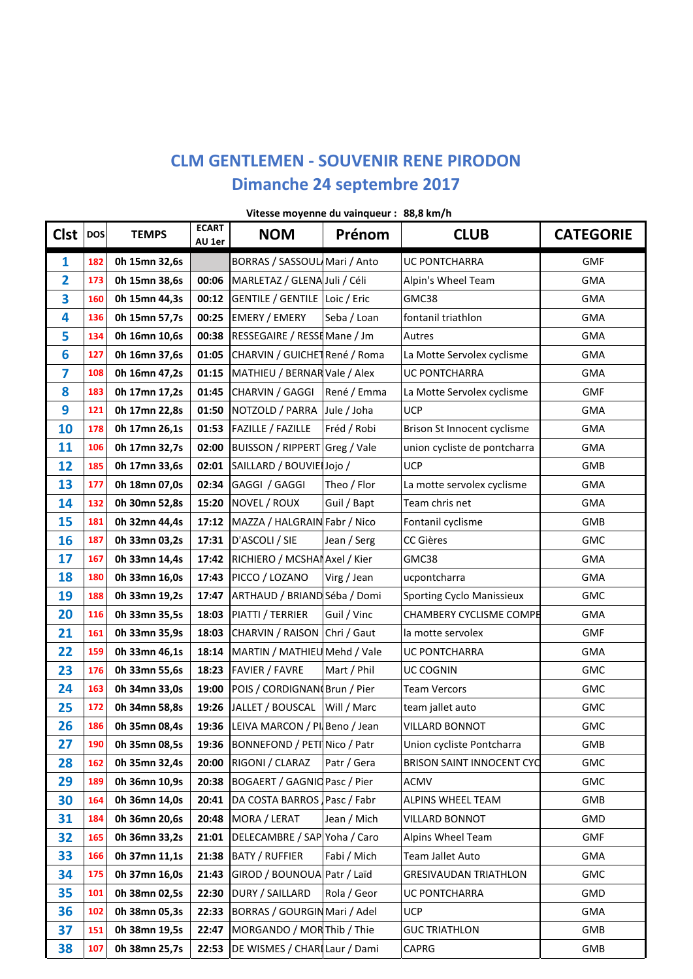## **CLM GENTLEMEN - SOUVENIR RENE PIRODON Dimanche 24 septembre 2017**

|                | Vitesse moyenne du vainqueur : 88,8 km/h |               |                        |                                      |             |                                  |                  |  |  |  |  |
|----------------|------------------------------------------|---------------|------------------------|--------------------------------------|-------------|----------------------------------|------------------|--|--|--|--|
| <b>Clst</b>    | <b>DOS</b>                               | <b>TEMPS</b>  | <b>ECART</b><br>AU 1er | <b>NOM</b>                           | Prénom      | <b>CLUB</b>                      | <b>CATEGORIE</b> |  |  |  |  |
| 1              | 182                                      | 0h 15mn 32,6s |                        | BORRAS / SASSOUL/Mari / Anto         |             | <b>UC PONTCHARRA</b>             | <b>GMF</b>       |  |  |  |  |
| $\overline{2}$ | 173                                      | 0h 15mn 38,6s | 00:06                  | MARLETAZ / GLENA Juli / Céli         |             | Alpin's Wheel Team               | <b>GMA</b>       |  |  |  |  |
| 3              | 160                                      | 0h 15mn 44,3s | 00:12                  | GENTILE / GENTILE Loic / Eric        |             | GMC38                            | GMA              |  |  |  |  |
| 4              | 136                                      | 0h 15mn 57,7s | 00:25                  | <b>EMERY / EMERY</b>                 | Seba / Loan | fontanil triathlon               | GMA              |  |  |  |  |
| 5              | 134                                      | 0h 16mn 10,6s | 00:38                  | RESSEGAIRE / RESSEMane / Jm          |             | Autres                           | <b>GMA</b>       |  |  |  |  |
| 6              | 127                                      | 0h 16mn 37,6s | 01:05                  | CHARVIN / GUICHET René / Roma        |             | La Motte Servolex cyclisme       | GMA              |  |  |  |  |
| 7              | 108                                      | 0h 16mn 47,2s | 01:15                  | MATHIEU / BERNAR Vale / Alex         |             | <b>UC PONTCHARRA</b>             | <b>GMA</b>       |  |  |  |  |
| 8              | 183                                      | 0h 17mn 17,2s | 01:45                  | CHARVIN / GAGGI                      | René / Emma | La Motte Servolex cyclisme       | <b>GMF</b>       |  |  |  |  |
| 9              | 121                                      | 0h 17mn 22,8s | 01:50                  | NOTZOLD / PARRA                      | Jule / Joha | <b>UCP</b>                       | GMA              |  |  |  |  |
| 10             | 178                                      | 0h 17mn 26,1s | 01:53                  | <b>FAZILLE / FAZILLE</b>             | Fréd / Robi | Brison St Innocent cyclisme      | GMA              |  |  |  |  |
| 11             | 106                                      | 0h 17mn 32,7s | 02:00                  | BUISSON / RIPPERT Greg / Vale        |             | union cycliste de pontcharra     | <b>GMA</b>       |  |  |  |  |
| 12             | 185                                      | 0h 17mn 33,6s | 02:01                  | SAILLARD / BOUVIE Jojo /             |             | <b>UCP</b>                       | GMB              |  |  |  |  |
| 13             | 177                                      | 0h 18mn 07,0s | 02:34                  | GAGGI / GAGGI                        | Theo / Flor | La motte servolex cyclisme       | <b>GMA</b>       |  |  |  |  |
| 14             | 132                                      | 0h 30mn 52,8s | 15:20                  | NOVEL / ROUX                         | Guil / Bapt | Team chris net                   | <b>GMA</b>       |  |  |  |  |
| 15             | 181                                      | 0h 32mn 44,4s | 17:12                  | MAZZA / HALGRAIN Fabr / Nico         |             | Fontanil cyclisme                | GMB              |  |  |  |  |
| 16             | 187                                      | 0h 33mn 03,2s | 17:31                  | D'ASCOLI / SIE                       | Jean / Serg | CC Gières                        | <b>GMC</b>       |  |  |  |  |
| 17             | 167                                      | 0h 33mn 14,4s | 17:42                  | RICHIERO / MCSHAI Axel / Kier        |             | GMC38                            | <b>GMA</b>       |  |  |  |  |
| 18             | 180                                      | 0h 33mn 16,0s | 17:43                  | PICCO / LOZANO                       | Virg / Jean | ucpontcharra                     | <b>GMA</b>       |  |  |  |  |
| 19             | 188                                      | 0h 33mn 19,2s | 17:47                  | ARTHAUD / BRIAND Séba / Domi         |             | <b>Sporting Cyclo Manissieux</b> | <b>GMC</b>       |  |  |  |  |
| 20             | 116                                      | 0h 33mn 35,5s | 18:03                  | PIATTI / TERRIER                     | Guil / Vinc | <b>CHAMBERY CYCLISME COMPE</b>   | <b>GMA</b>       |  |  |  |  |
| 21             | 161                                      | 0h 33mn 35,9s | 18:03                  | CHARVIN / RAISON                     | Chri / Gaut | la motte servolex                | <b>GMF</b>       |  |  |  |  |
| 22             | 159                                      | 0h 33mn 46,1s | 18:14                  | MARTIN / MATHIEU Mehd / Vale         |             | UC PONTCHARRA                    | GMA              |  |  |  |  |
| 23             | 176                                      | 0h 33mn 55,6s | 18:23                  | <b>FAVIER / FAVRE</b>                | Mart / Phil | <b>UC COGNIN</b>                 | <b>GMC</b>       |  |  |  |  |
| 24             | 163                                      | 0h 34mn 33,0s | 19:00                  | POIS / CORDIGNAN(Brun / Pier         |             | <b>Team Vercors</b>              | <b>GMC</b>       |  |  |  |  |
| 25             | 172                                      | 0h 34mn 58,8s | 19:26                  | JALLET / BOUSCAL                     | Will / Marc | team jallet auto                 | <b>GMC</b>       |  |  |  |  |
| 26             | 186                                      | 0h 35mn 08,4s |                        | 19:36 LEIVA MARCON / PI Beno / Jean  |             | VILLARD BONNOT                   | GMC              |  |  |  |  |
| 27             | 190                                      | 0h 35mn 08,5s |                        | 19:36   BONNEFOND / PETI Nico / Patr |             | Union cycliste Pontcharra        | GMB              |  |  |  |  |
| 28             | 162                                      | 0h 35mn 32,4s | 20:00                  | RIGONI / CLARAZ                      | Patr / Gera | <b>BRISON SAINT INNOCENT CYC</b> | <b>GMC</b>       |  |  |  |  |
| 29             | 189                                      | 0h 36mn 10,9s | 20:38                  | BOGAERT / GAGNIO Pasc / Pier         |             | ACMV                             | <b>GMC</b>       |  |  |  |  |
| 30             | 164                                      | 0h 36mn 14,0s | 20:41                  | DA COSTA BARROS Pasc / Fabr          |             | ALPINS WHEEL TEAM                | GMB              |  |  |  |  |
| 31             | 184                                      | 0h 36mn 20,6s | 20:48                  | MORA / LERAT                         | Jean / Mich | VILLARD BONNOT                   | GMD              |  |  |  |  |
| 32             | 165                                      | 0h 36mn 33,2s | 21:01                  | DELECAMBRE / SAP Yoha / Caro         |             | Alpins Wheel Team                | <b>GMF</b>       |  |  |  |  |
| 33             | 166                                      | 0h 37mn 11,1s | 21:38                  | <b>BATY / RUFFIER</b>                | Fabi / Mich | Team Jallet Auto                 | GMA              |  |  |  |  |
| 34             | 175                                      | 0h 37mn 16,0s | 21:43                  | GIROD / BOUNOUA Patr / Laïd          |             | <b>GRESIVAUDAN TRIATHLON</b>     | <b>GMC</b>       |  |  |  |  |
| 35             | 101                                      | 0h 38mn 02,5s | 22:30                  | DURY / SAILLARD                      | Rola / Geor | UC PONTCHARRA                    | GMD              |  |  |  |  |
| 36             | 102                                      | 0h 38mn 05,3s | 22:33                  | BORRAS / GOURGIN Mari / Adel         |             | UCP                              | GMA              |  |  |  |  |
| 37             | 151                                      | 0h 38mn 19,5s | 22:47                  | MORGANDO / MORThib / Thie            |             | <b>GUC TRIATHLON</b>             | GMB              |  |  |  |  |
| 38             | 107                                      | 0h 38mn 25,7s | 22:53                  | DE WISMES / CHARILaur / Dami         |             | CAPRG                            | GMB              |  |  |  |  |